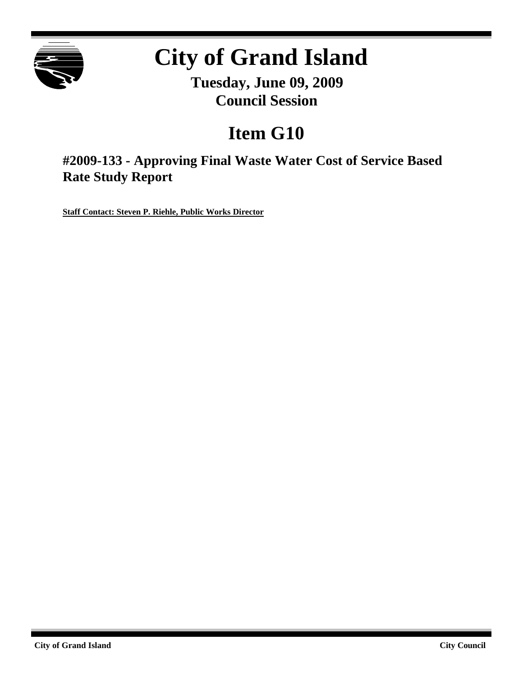

# **City of Grand Island**

**Tuesday, June 09, 2009 Council Session**

## **Item G10**

**#2009-133 - Approving Final Waste Water Cost of Service Based Rate Study Report**

**Staff Contact: Steven P. Riehle, Public Works Director**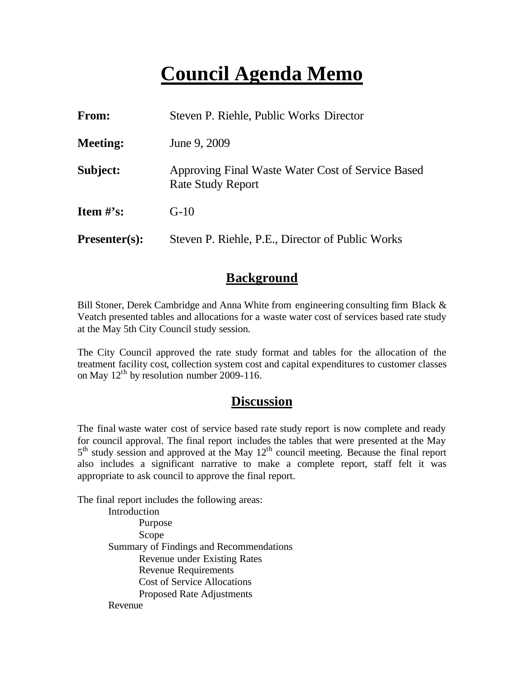## **Council Agenda Memo**

| <b>From:</b>    | Steven P. Riehle, Public Works Director                                       |  |  |
|-----------------|-------------------------------------------------------------------------------|--|--|
| <b>Meeting:</b> | June 9, 2009                                                                  |  |  |
| Subject:        | Approving Final Waste Water Cost of Service Based<br><b>Rate Study Report</b> |  |  |
| Item $\#$ 's:   | $G-10$                                                                        |  |  |
| $Presenter(s):$ | Steven P. Riehle, P.E., Director of Public Works                              |  |  |

#### **Background**

Bill Stoner, Derek Cambridge and Anna White from engineering consulting firm Black & Veatch presented tables and allocations for a waste water cost of services based rate study at the May 5th City Council study session.

The City Council approved the rate study format and tables for the allocation of the treatment facility cost, collection system cost and capital expenditures to customer classes on May  $12^{th}$  by resolution number 2009-116.

#### **Discussion**

The final waste water cost of service based rate study report is now complete and ready for council approval. The final report includes the tables that were presented at the May 5<sup>th</sup> study session and approved at the May 12<sup>th</sup> council meeting. Because the final report also includes a significant narrative to make a complete report, staff felt it was appropriate to ask council to approve the final report.

The final report includes the following areas:

Introduction Purpose Scope Summary of Findings and Recommendations Revenue under Existing Rates Revenue Requirements Cost of Service Allocations Proposed Rate Adjustments Revenue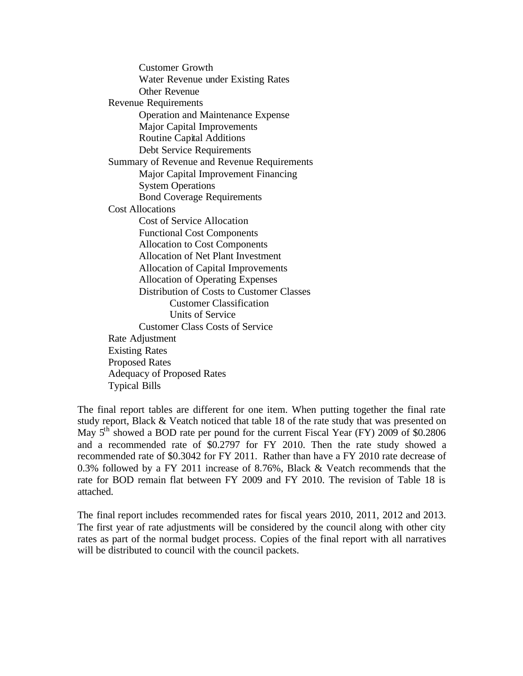Customer Growth Water Revenue under Existing Rates Other Revenue Revenue Requirements Operation and Maintenance Expense Major Capital Improvements Routine Capital Additions Debt Service Requirements Summary of Revenue and Revenue Requirements Major Capital Improvement Financing System Operations Bond Coverage Requirements Cost Allocations Cost of Service Allocation Functional Cost Components Allocation to Cost Components Allocation of Net Plant Investment Allocation of Capital Improvements Allocation of Operating Expenses Distribution of Costs to Customer Classes Customer Classification Units of Service Customer Class Costs of Service Rate Adjustment Existing Rates Proposed Rates Adequacy of Proposed Rates Typical Bills

The final report tables are different for one item. When putting together the final rate study report, Black & Veatch noticed that table 18 of the rate study that was presented on May  $5<sup>th</sup>$  showed a BOD rate per pound for the current Fiscal Year (FY) 2009 of \$0.2806 and a recommended rate of \$0.2797 for FY 2010. Then the rate study showed a recommended rate of \$0.3042 for FY 2011. Rather than have a FY 2010 rate decrease of 0.3% followed by a FY 2011 increase of 8.76%, Black & Veatch recommends that the rate for BOD remain flat between FY 2009 and FY 2010. The revision of Table 18 is attached.

The final report includes recommended rates for fiscal years 2010, 2011, 2012 and 2013. The first year of rate adjustments will be considered by the council along with other city rates as part of the normal budget process. Copies of the final report with all narratives will be distributed to council with the council packets.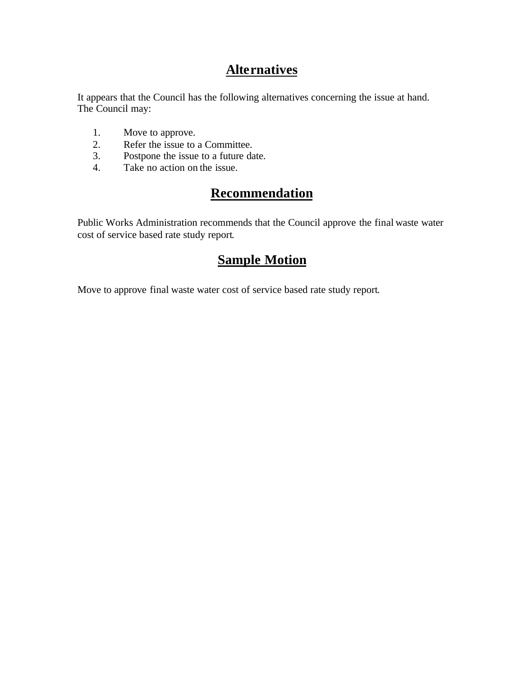### **Alternatives**

It appears that the Council has the following alternatives concerning the issue at hand. The Council may:

- 1. Move to approve.
- 2. Refer the issue to a Committee.
- 3. Postpone the issue to a future date.
- 4. Take no action on the issue.

## **Recommendation**

Public Works Administration recommends that the Council approve the final waste water cost of service based rate study report.

## **Sample Motion**

Move to approve final waste water cost of service based rate study report.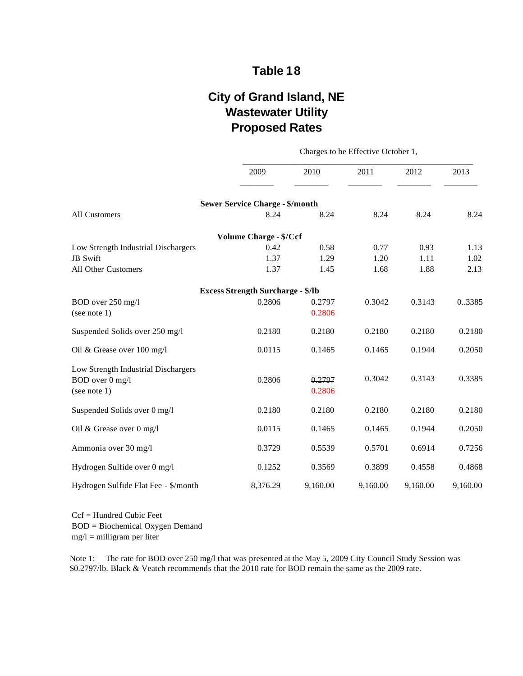#### **Table 18**

## **City of Grand Island, NE Wastewater Utility Proposed Rates**

Charges to be Effective October 1,

| 2009     | 2010     | 2011                                                                                                                | 2012     | 2013     |
|----------|----------|---------------------------------------------------------------------------------------------------------------------|----------|----------|
|          |          |                                                                                                                     |          |          |
| 8.24     | 8.24     | 8.24                                                                                                                | 8.24     | 8.24     |
|          |          |                                                                                                                     |          |          |
| 0.42     | 0.58     | 0.77                                                                                                                | 0.93     | 1.13     |
| 1.37     | 1.29     | 1.20                                                                                                                | 1.11     | 1.02     |
| 1.37     | 1.45     | 1.68                                                                                                                | 1.88     | 2.13     |
|          |          |                                                                                                                     |          |          |
| 0.2806   | 0.2797   | 0.3042                                                                                                              | 0.3143   | 0.3385   |
|          | 0.2806   |                                                                                                                     |          |          |
| 0.2180   | 0.2180   | 0.2180                                                                                                              | 0.2180   | 0.2180   |
| 0.0115   | 0.1465   | 0.1465                                                                                                              | 0.1944   | 0.2050   |
|          |          |                                                                                                                     |          |          |
| 0.2806   | 0.2797   |                                                                                                                     |          | 0.3385   |
|          | 0.2806   |                                                                                                                     |          |          |
| 0.2180   | 0.2180   | 0.2180                                                                                                              | 0.2180   | 0.2180   |
| 0.0115   | 0.1465   | 0.1465                                                                                                              | 0.1944   | 0.2050   |
| 0.3729   | 0.5539   | 0.5701                                                                                                              | 0.6914   | 0.7256   |
| 0.1252   | 0.3569   | 0.3899                                                                                                              | 0.4558   | 0.4868   |
| 8,376.29 | 9,160.00 | 9,160.00                                                                                                            | 9,160.00 | 9,160.00 |
|          |          | <b>Sewer Service Charge - \$/month</b><br><b>Volume Charge - \$/Ccf</b><br><b>Excess Strength Surcharge - \$/lb</b> | 0.3042   | 0.3143   |

Ccf = Hundred Cubic Feet BOD = Biochemical Oxygen Demand  $mg/l =$  milligram per liter

Note 1: The rate for BOD over 250 mg/l that was presented at the May 5, 2009 City Council Study Session was \$0.2797/lb. Black & Veatch recommends that the 2010 rate for BOD remain the same as the 2009 rate.